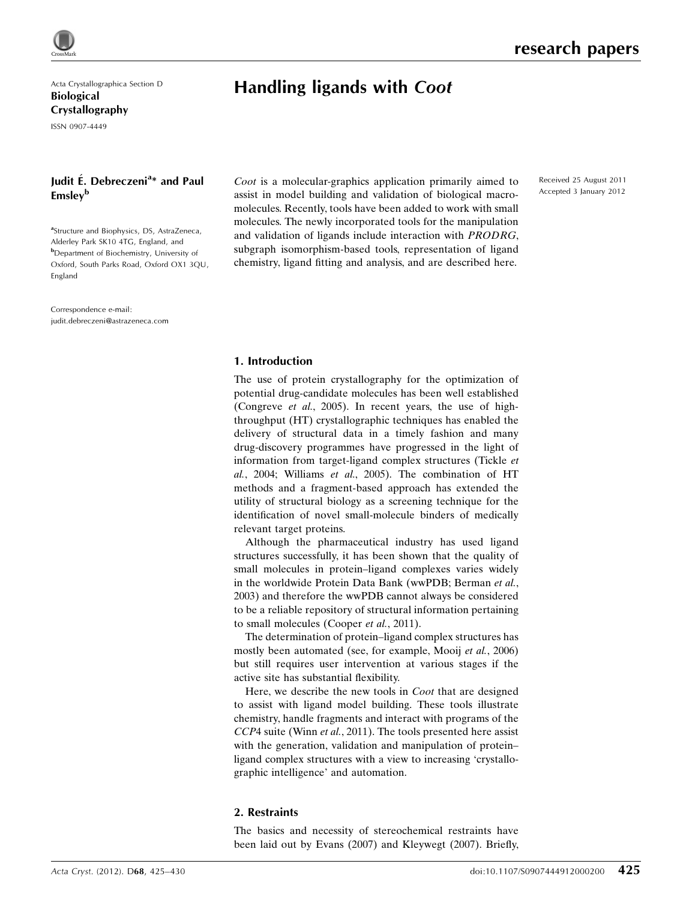Acta Crystallographica Section D Biological Crystallography ISSN 0907-4449

# Judit É. Debreczeni<sup>a</sup>\* and Paul **Emsley**<sup>b</sup>

<sup>a</sup>Structure and Biophysics, DS, AstraZeneca, Alderley Park SK10 4TG, England, and b Department of Biochemistry, University of Oxford, South Parks Road, Oxford OX1 3QU, England

Correspondence e-mail: [judit.debreczeni@astrazeneca.com](http://scripts.iucr.org/cgi-bin/cr.cgi?rm=pdfbb&cnor=ba5175&bbid=BB32)

# Handling ligands with Coot

Coot is a molecular-graphics application primarily aimed to assist in model building and validation of biological macromolecules. Recently, tools have been added to work with small molecules. The newly incorporated tools for the manipulation and validation of ligands include interaction with PRODRG, subgraph isomorphism-based tools, representation of ligand chemistry, ligand fitting and analysis, and are described here.

Received 25 August 2011 Accepted 3 January 2012

#### 1. Introduction

The use of protein crystallography for the optimization of potential drug-candidate molecules has been well established (Congreve et al., 2005). In recent years, the use of highthroughput (HT) crystallographic techniques has enabled the delivery of structural data in a timely fashion and many drug-discovery programmes have progressed in the light of information from target-ligand complex structures (Tickle et al., 2004; Williams et al., 2005). The combination of HT methods and a fragment-based approach has extended the utility of structural biology as a screening technique for the identification of novel small-molecule binders of medically relevant target proteins.

Although the pharmaceutical industry has used ligand structures successfully, it has been shown that the quality of small molecules in protein–ligand complexes varies widely in the worldwide Protein Data Bank (wwPDB; Berman et al., 2003) and therefore the wwPDB cannot always be considered to be a reliable repository of structural information pertaining to small molecules (Cooper et al., 2011).

The determination of protein–ligand complex structures has mostly been automated (see, for example, Mooij et al., 2006) but still requires user intervention at various stages if the active site has substantial flexibility.

Here, we describe the new tools in *Coot* that are designed to assist with ligand model building. These tools illustrate chemistry, handle fragments and interact with programs of the CCP4 suite (Winn et al., 2011). The tools presented here assist with the generation, validation and manipulation of protein– ligand complex structures with a view to increasing 'crystallographic intelligence' and automation.

#### 2. Restraints

The basics and necessity of stereochemical restraints have been laid out by Evans (2007) and Kleywegt (2007). Briefly,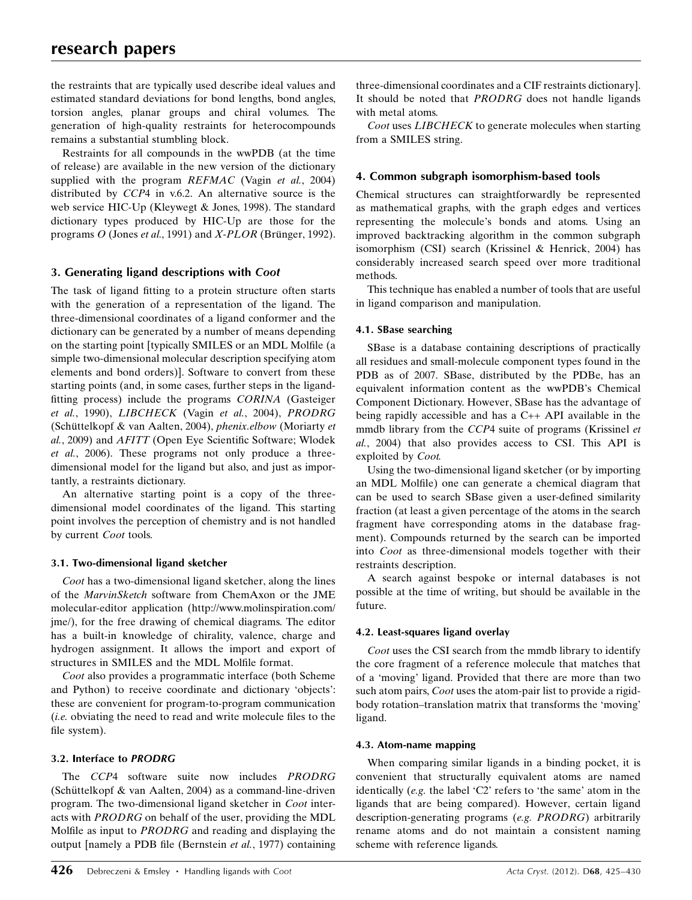the restraints that are typically used describe ideal values and estimated standard deviations for bond lengths, bond angles, torsion angles, planar groups and chiral volumes. The generation of high-quality restraints for heterocompounds remains a substantial stumbling block.

Restraints for all compounds in the wwPDB (at the time of release) are available in the new version of the dictionary supplied with the program REFMAC (Vagin et al., 2004) distributed by CCP4 in v.6.2. An alternative source is the web service HIC-Up (Kleywegt & Jones, 1998). The standard dictionary types produced by HIC-Up are those for the programs  $O$  (Jones et al., 1991) and  $X$ -PLOR (Brünger, 1992).

# 3. Generating ligand descriptions with Coot

The task of ligand fitting to a protein structure often starts with the generation of a representation of the ligand. The three-dimensional coordinates of a ligand conformer and the dictionary can be generated by a number of means depending on the starting point [typically SMILES or an MDL Molfile (a simple two-dimensional molecular description specifying atom elements and bond orders)]. Software to convert from these starting points (and, in some cases, further steps in the ligandfitting process) include the programs CORINA (Gasteiger et al., 1990), LIBCHECK (Vagin et al., 2004), PRODRG (Schüttelkopf & van Aalten, 2004), phenix.elbow (Moriarty et al., 2009) and AFITT (Open Eye Scientific Software; Wlodek et al., 2006). These programs not only produce a threedimensional model for the ligand but also, and just as importantly, a restraints dictionary.

An alternative starting point is a copy of the threedimensional model coordinates of the ligand. This starting point involves the perception of chemistry and is not handled by current Coot tools.

## 3.1. Two-dimensional ligand sketcher

Coot has a two-dimensional ligand sketcher, along the lines of the MarvinSketch software from ChemAxon or the JME molecular-editor application (http://www.molinspiration.com/ jme/), for the free drawing of chemical diagrams. The editor has a built-in knowledge of chirality, valence, charge and hydrogen assignment. It allows the import and export of structures in SMILES and the MDL Molfile format.

Coot also provides a programmatic interface (both Scheme and Python) to receive coordinate and dictionary 'objects': these are convenient for program-to-program communication (i.e. obviating the need to read and write molecule files to the file system).

## 3.2. Interface to PRODRG

The CCP4 software suite now includes PRODRG (Schüttelkopf & van Aalten, 2004) as a command-line-driven program. The two-dimensional ligand sketcher in Coot interacts with PRODRG on behalf of the user, providing the MDL Molfile as input to PRODRG and reading and displaying the output [namely a PDB file (Bernstein et al., 1977) containing three-dimensional coordinates and a CIF restraints dictionary]. It should be noted that PRODRG does not handle ligands with metal atoms.

Coot uses LIBCHECK to generate molecules when starting from a SMILES string.

# 4. Common subgraph isomorphism-based tools

Chemical structures can straightforwardly be represented as mathematical graphs, with the graph edges and vertices representing the molecule's bonds and atoms. Using an improved backtracking algorithm in the common subgraph isomorphism (CSI) search (Krissinel & Henrick, 2004) has considerably increased search speed over more traditional methods.

This technique has enabled a number of tools that are useful in ligand comparison and manipulation.

# 4.1. SBase searching

SBase is a database containing descriptions of practically all residues and small-molecule component types found in the PDB as of 2007. SBase, distributed by the PDBe, has an equivalent information content as the wwPDB's Chemical Component Dictionary. However, SBase has the advantage of being rapidly accessible and has a C++ API available in the mmdb library from the CCP4 suite of programs (Krissinel et al., 2004) that also provides access to CSI. This API is exploited by Coot.

Using the two-dimensional ligand sketcher (or by importing an MDL Molfile) one can generate a chemical diagram that can be used to search SBase given a user-defined similarity fraction (at least a given percentage of the atoms in the search fragment have corresponding atoms in the database fragment). Compounds returned by the search can be imported into Coot as three-dimensional models together with their restraints description.

A search against bespoke or internal databases is not possible at the time of writing, but should be available in the future.

## 4.2. Least-squares ligand overlay

Coot uses the CSI search from the mmdb library to identify the core fragment of a reference molecule that matches that of a 'moving' ligand. Provided that there are more than two such atom pairs, *Coot* uses the atom-pair list to provide a rigidbody rotation–translation matrix that transforms the 'moving' ligand.

## 4.3. Atom-name mapping

When comparing similar ligands in a binding pocket, it is convenient that structurally equivalent atoms are named identically (e.g. the label 'C2' refers to 'the same' atom in the ligands that are being compared). However, certain ligand description-generating programs (e.g. PRODRG) arbitrarily rename atoms and do not maintain a consistent naming scheme with reference ligands.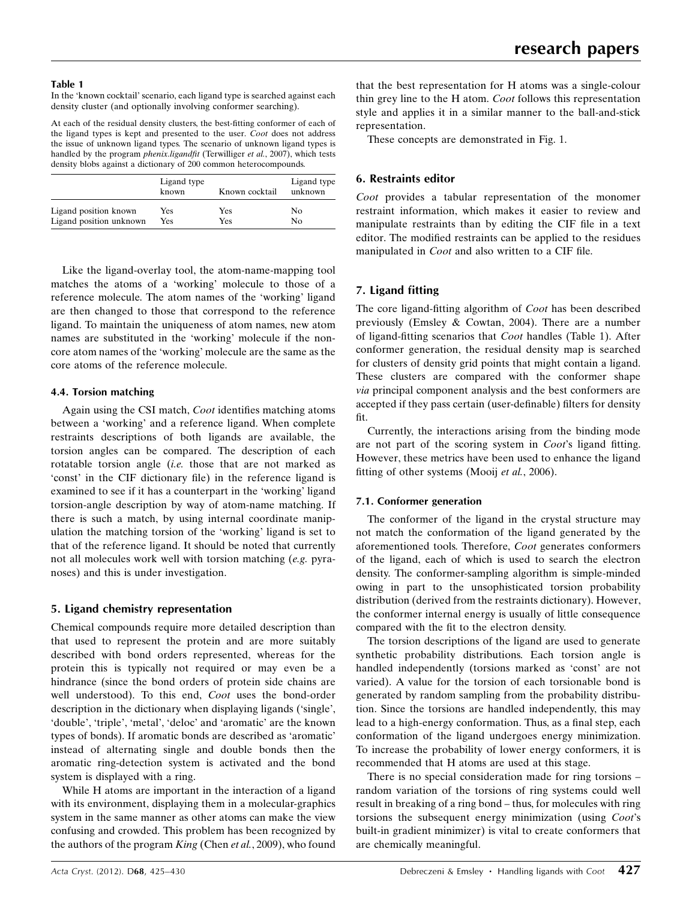#### Table 1

In the 'known cocktail' scenario, each ligand type is searched against each density cluster (and optionally involving conformer searching).

At each of the residual density clusters, the best-fitting conformer of each of the ligand types is kept and presented to the user. Coot does not address the issue of unknown ligand types. The scenario of unknown ligand types is handled by the program phenix.ligandfit (Terwilliger et al., 2007), which tests density blobs against a dictionary of 200 common heterocompounds.

|                         | Ligand type<br>known | Known cocktail | Ligand type<br>unknown |
|-------------------------|----------------------|----------------|------------------------|
| Ligand position known   | Yes                  | Yes            | No                     |
| Ligand position unknown | Yes                  | Yes            | No                     |

Like the ligand-overlay tool, the atom-name-mapping tool matches the atoms of a 'working' molecule to those of a reference molecule. The atom names of the 'working' ligand are then changed to those that correspond to the reference ligand. To maintain the uniqueness of atom names, new atom names are substituted in the 'working' molecule if the noncore atom names of the 'working' molecule are the same as the core atoms of the reference molecule.

#### 4.4. Torsion matching

Again using the CSI match, Coot identifies matching atoms between a 'working' and a reference ligand. When complete restraints descriptions of both ligands are available, the torsion angles can be compared. The description of each rotatable torsion angle (i.e. those that are not marked as 'const' in the CIF dictionary file) in the reference ligand is examined to see if it has a counterpart in the 'working' ligand torsion-angle description by way of atom-name matching. If there is such a match, by using internal coordinate manipulation the matching torsion of the 'working' ligand is set to that of the reference ligand. It should be noted that currently not all molecules work well with torsion matching (e.g. pyranoses) and this is under investigation.

#### 5. Ligand chemistry representation

Chemical compounds require more detailed description than that used to represent the protein and are more suitably described with bond orders represented, whereas for the protein this is typically not required or may even be a hindrance (since the bond orders of protein side chains are well understood). To this end, Coot uses the bond-order description in the dictionary when displaying ligands ('single', 'double', 'triple', 'metal', 'deloc' and 'aromatic' are the known types of bonds). If aromatic bonds are described as 'aromatic' instead of alternating single and double bonds then the aromatic ring-detection system is activated and the bond system is displayed with a ring.

While H atoms are important in the interaction of a ligand with its environment, displaying them in a molecular-graphics system in the same manner as other atoms can make the view confusing and crowded. This problem has been recognized by the authors of the program *King* (Chen *et al.*, 2009), who found that the best representation for H atoms was a single-colour thin grey line to the H atom. Coot follows this representation style and applies it in a similar manner to the ball-and-stick representation.

These concepts are demonstrated in Fig. 1.

## 6. Restraints editor

Coot provides a tabular representation of the monomer restraint information, which makes it easier to review and manipulate restraints than by editing the CIF file in a text editor. The modified restraints can be applied to the residues manipulated in Coot and also written to a CIF file.

## 7. Ligand fitting

The core ligand-fitting algorithm of *Coot* has been described previously (Emsley & Cowtan, 2004). There are a number of ligand-fitting scenarios that Coot handles (Table 1). After conformer generation, the residual density map is searched for clusters of density grid points that might contain a ligand. These clusters are compared with the conformer shape via principal component analysis and the best conformers are accepted if they pass certain (user-definable) filters for density fit.

Currently, the interactions arising from the binding mode are not part of the scoring system in Coot's ligand fitting. However, these metrics have been used to enhance the ligand fitting of other systems (Mooij et al., 2006).

#### 7.1. Conformer generation

The conformer of the ligand in the crystal structure may not match the conformation of the ligand generated by the aforementioned tools. Therefore, Coot generates conformers of the ligand, each of which is used to search the electron density. The conformer-sampling algorithm is simple-minded owing in part to the unsophisticated torsion probability distribution (derived from the restraints dictionary). However, the conformer internal energy is usually of little consequence compared with the fit to the electron density.

The torsion descriptions of the ligand are used to generate synthetic probability distributions. Each torsion angle is handled independently (torsions marked as 'const' are not varied). A value for the torsion of each torsionable bond is generated by random sampling from the probability distribution. Since the torsions are handled independently, this may lead to a high-energy conformation. Thus, as a final step, each conformation of the ligand undergoes energy minimization. To increase the probability of lower energy conformers, it is recommended that H atoms are used at this stage.

There is no special consideration made for ring torsions – random variation of the torsions of ring systems could well result in breaking of a ring bond – thus, for molecules with ring torsions the subsequent energy minimization (using Coot's built-in gradient minimizer) is vital to create conformers that are chemically meaningful.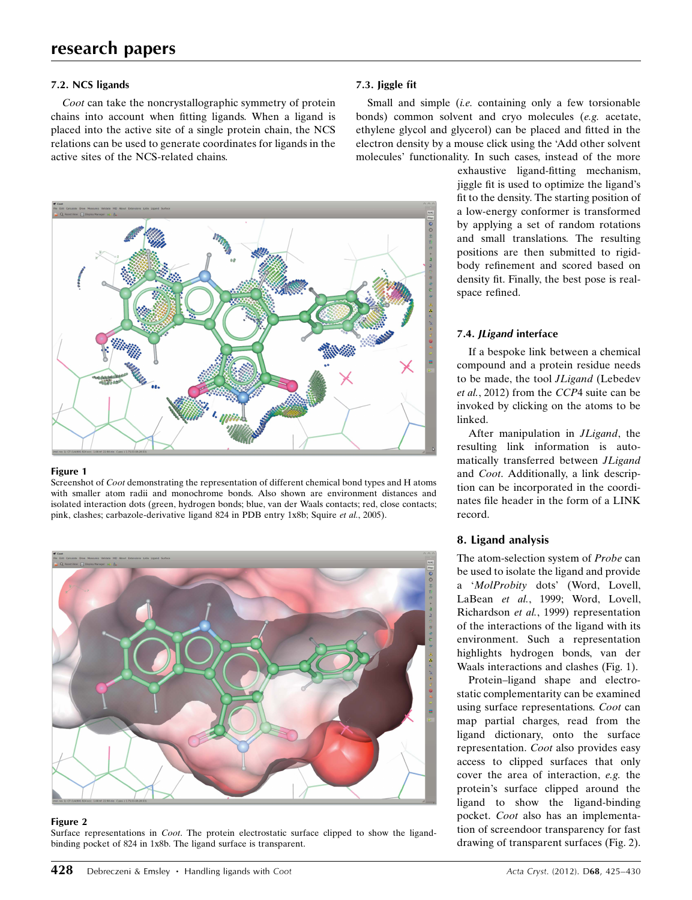### 7.2. NCS ligands

Coot can take the noncrystallographic symmetry of protein chains into account when fitting ligands. When a ligand is placed into the active site of a single protein chain, the NCS relations can be used to generate coordinates for ligands in the active sites of the NCS-related chains.



#### Figure 1

Screenshot of Coot demonstrating the representation of different chemical bond types and H atoms with smaller atom radii and monochrome bonds. Also shown are environment distances and isolated interaction dots (green, hydrogen bonds; blue, van der Waals contacts; red, close contacts; pink, clashes; carbazole-derivative ligand 824 in PDB entry 1x8b; Squire et al., 2005).



#### Figure 2

Surface representations in *Coot*. The protein electrostatic surface clipped to show the ligandbinding pocket of 824 in 1x8b. The ligand surface is transparent.

### 7.3. Jiggle fit

Small and simple *(i.e.* containing only a few torsionable bonds) common solvent and cryo molecules (e.g. acetate, ethylene glycol and glycerol) can be placed and fitted in the electron density by a mouse click using the 'Add other solvent molecules' functionality. In such cases, instead of the more

> exhaustive ligand-fitting mechanism, jiggle fit is used to optimize the ligand's fit to the density. The starting position of a low-energy conformer is transformed by applying a set of random rotations and small translations. The resulting positions are then submitted to rigidbody refinement and scored based on density fit. Finally, the best pose is realspace refined.

## 7.4. JLigand interface

If a bespoke link between a chemical compound and a protein residue needs to be made, the tool JLigand (Lebedev et al., 2012) from the CCP4 suite can be invoked by clicking on the atoms to be linked.

After manipulation in JLigand, the resulting link information is automatically transferred between JLigand and Coot. Additionally, a link description can be incorporated in the coordinates file header in the form of a LINK record.

## 8. Ligand analysis

The atom-selection system of Probe can be used to isolate the ligand and provide a 'MolProbity dots' (Word, Lovell, LaBean et al., 1999; Word, Lovell, Richardson et al., 1999) representation of the interactions of the ligand with its environment. Such a representation highlights hydrogen bonds, van der Waals interactions and clashes (Fig. 1).

Protein–ligand shape and electrostatic complementarity can be examined using surface representations. Coot can map partial charges, read from the ligand dictionary, onto the surface representation. Coot also provides easy access to clipped surfaces that only cover the area of interaction, e.g. the protein's surface clipped around the ligand to show the ligand-binding pocket. Coot also has an implementation of screendoor transparency for fast drawing of transparent surfaces (Fig. 2).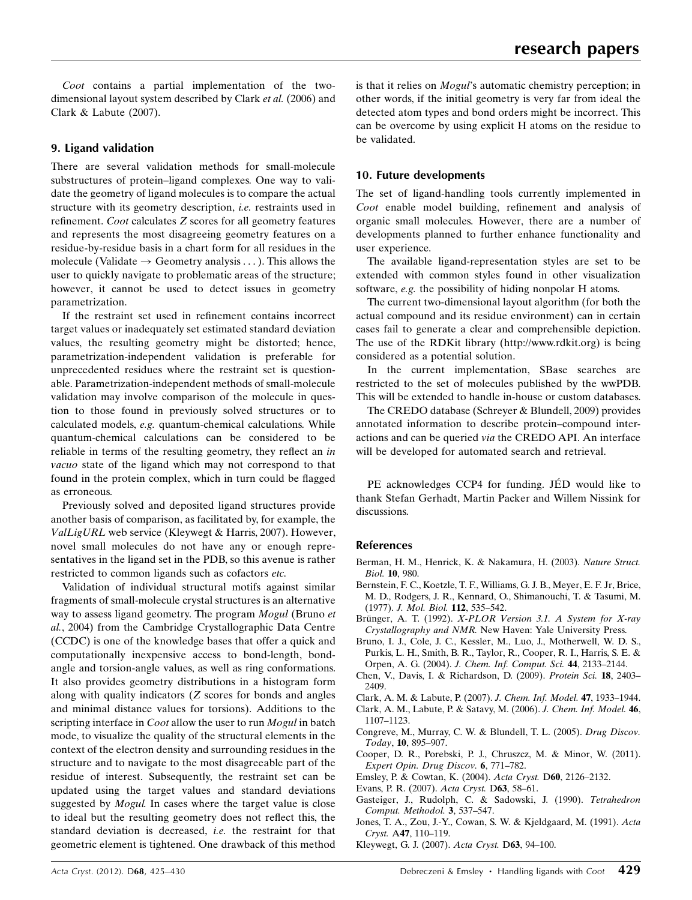Coot contains a partial implementation of the twodimensional layout system described by Clark et al. (2006) and Clark & Labute (2007).

### 9. Ligand validation

There are several validation methods for small-molecule substructures of protein–ligand complexes. One way to validate the geometry of ligand molecules is to compare the actual structure with its geometry description, i.e. restraints used in refinement. Coot calculates Z scores for all geometry features and represents the most disagreeing geometry features on a residue-by-residue basis in a chart form for all residues in the molecule (Validate  $\rightarrow$  Geometry analysis...). This allows the user to quickly navigate to problematic areas of the structure; however, it cannot be used to detect issues in geometry parametrization.

If the restraint set used in refinement contains incorrect target values or inadequately set estimated standard deviation values, the resulting geometry might be distorted; hence, parametrization-independent validation is preferable for unprecedented residues where the restraint set is questionable. Parametrization-independent methods of small-molecule validation may involve comparison of the molecule in question to those found in previously solved structures or to calculated models, e.g. quantum-chemical calculations. While quantum-chemical calculations can be considered to be reliable in terms of the resulting geometry, they reflect an in vacuo state of the ligand which may not correspond to that found in the protein complex, which in turn could be flagged as erroneous.

Previously solved and deposited ligand structures provide another basis of comparison, as facilitated by, for example, the ValLigURL web service (Kleywegt & Harris, 2007). However, novel small molecules do not have any or enough representatives in the ligand set in the PDB, so this avenue is rather restricted to common ligands such as cofactors etc.

Validation of individual structural motifs against similar fragments of small-molecule crystal structures is an alternative way to assess ligand geometry. The program Mogul (Bruno et al., 2004) from the Cambridge Crystallographic Data Centre (CCDC) is one of the knowledge bases that offer a quick and computationally inexpensive access to bond-length, bondangle and torsion-angle values, as well as ring conformations. It also provides geometry distributions in a histogram form along with quality indicators (Z scores for bonds and angles and minimal distance values for torsions). Additions to the scripting interface in *Coot* allow the user to run *Mogul* in batch mode, to visualize the quality of the structural elements in the context of the electron density and surrounding residues in the structure and to navigate to the most disagreeable part of the residue of interest. Subsequently, the restraint set can be updated using the target values and standard deviations suggested by Mogul. In cases where the target value is close to ideal but the resulting geometry does not reflect this, the standard deviation is decreased, i.e. the restraint for that geometric element is tightened. One drawback of this method is that it relies on *Mogul's* automatic chemistry perception; in other words, if the initial geometry is very far from ideal the detected atom types and bond orders might be incorrect. This can be overcome by using explicit H atoms on the residue to be validated.

#### 10. Future developments

The set of ligand-handling tools currently implemented in Coot enable model building, refinement and analysis of organic small molecules. However, there are a number of developments planned to further enhance functionality and user experience.

The available ligand-representation styles are set to be extended with common styles found in other visualization software, e.g. the possibility of hiding nonpolar H atoms.

The current two-dimensional layout algorithm (for both the actual compound and its residue environment) can in certain cases fail to generate a clear and comprehensible depiction. The use of the RDKit library (http://www.rdkit.org) is being considered as a potential solution.

In the current implementation, SBase searches are restricted to the set of molecules published by the wwPDB. This will be extended to handle in-house or custom databases.

The CREDO database (Schreyer & Blundell, 2009) provides annotated information to describe protein–compound interactions and can be queried via the CREDO API. An interface will be developed for automated search and retrieval.

PE acknowledges CCP4 for funding. JED would like to thank Stefan Gerhadt, Martin Packer and Willem Nissink for discussions.

#### References

- [Berman, H. M., Henrick, K. & Nakamura, H. \(2003\).](http://scripts.iucr.org/cgi-bin/cr.cgi?rm=pdfbb&cnor=ba5175&bbid=BB1) Nature Struct. Biol. 10[, 980.](http://scripts.iucr.org/cgi-bin/cr.cgi?rm=pdfbb&cnor=ba5175&bbid=BB1)
- [Bernstein, F. C., Koetzle, T. F., Williams, G. J. B., Meyer, E. F. Jr, Brice,](http://scripts.iucr.org/cgi-bin/cr.cgi?rm=pdfbb&cnor=ba5175&bbid=BB2) [M. D., Rodgers, J. R., Kennard, O., Shimanouchi, T. & Tasumi, M.](http://scripts.iucr.org/cgi-bin/cr.cgi?rm=pdfbb&cnor=ba5175&bbid=BB2) (1977). [J. Mol. Biol.](http://scripts.iucr.org/cgi-bin/cr.cgi?rm=pdfbb&cnor=ba5175&bbid=BB2) 112, 535–542.
- Brünger, A. T. (1992). [X-PLOR Version 3.1. A System for X-ray](http://scripts.iucr.org/cgi-bin/cr.cgi?rm=pdfbb&cnor=ba5175&bbid=BB3) Crystallography and NMR. [New Haven: Yale University Press.](http://scripts.iucr.org/cgi-bin/cr.cgi?rm=pdfbb&cnor=ba5175&bbid=BB3)
- [Bruno, I. J., Cole, J. C., Kessler, M., Luo, J., Motherwell, W. D. S.,](http://scripts.iucr.org/cgi-bin/cr.cgi?rm=pdfbb&cnor=ba5175&bbid=BB4) [Purkis, L. H., Smith, B. R., Taylor, R., Cooper, R. I., Harris, S. E. &](http://scripts.iucr.org/cgi-bin/cr.cgi?rm=pdfbb&cnor=ba5175&bbid=BB4) Orpen, A. G. (2004). [J. Chem. Inf. Comput. Sci.](http://scripts.iucr.org/cgi-bin/cr.cgi?rm=pdfbb&cnor=ba5175&bbid=BB4) 44, 2133–2144.
- [Chen, V., Davis, I. & Richardson, D. \(2009\).](http://scripts.iucr.org/cgi-bin/cr.cgi?rm=pdfbb&cnor=ba5175&bbid=BB5) Protein Sci. 18, 2403– [2409.](http://scripts.iucr.org/cgi-bin/cr.cgi?rm=pdfbb&cnor=ba5175&bbid=BB5)
- [Clark, A. M. & Labute, P. \(2007\).](http://scripts.iucr.org/cgi-bin/cr.cgi?rm=pdfbb&cnor=ba5175&bbid=BB6) J. Chem. Inf. Model. 47, 1933–1944.
- [Clark, A. M., Labute, P. & Satavy, M. \(2006\).](http://scripts.iucr.org/cgi-bin/cr.cgi?rm=pdfbb&cnor=ba5175&bbid=BB7) J. Chem. Inf. Model. 46, [1107–1123.](http://scripts.iucr.org/cgi-bin/cr.cgi?rm=pdfbb&cnor=ba5175&bbid=BB7)
- [Congreve, M., Murray, C. W. & Blundell, T. L. \(2005\).](http://scripts.iucr.org/cgi-bin/cr.cgi?rm=pdfbb&cnor=ba5175&bbid=BB8) Drug Discov. Today, 10[, 895–907.](http://scripts.iucr.org/cgi-bin/cr.cgi?rm=pdfbb&cnor=ba5175&bbid=BB8)
- [Cooper, D. R., Porebski, P. J., Chruszcz, M. & Minor, W. \(2011\).](http://scripts.iucr.org/cgi-bin/cr.cgi?rm=pdfbb&cnor=ba5175&bbid=BB9) [Expert Opin. Drug Discov.](http://scripts.iucr.org/cgi-bin/cr.cgi?rm=pdfbb&cnor=ba5175&bbid=BB9) 6, 771–782.
- [Emsley, P. & Cowtan, K. \(2004\).](http://scripts.iucr.org/cgi-bin/cr.cgi?rm=pdfbb&cnor=ba5175&bbid=BB10) Acta Cryst. D60, 2126–2132.
- [Evans, P. R. \(2007\).](http://scripts.iucr.org/cgi-bin/cr.cgi?rm=pdfbb&cnor=ba5175&bbid=BB11) Acta Cryst. D63, 58–61.
- [Gasteiger, J., Rudolph, C. & Sadowski, J. \(1990\).](http://scripts.iucr.org/cgi-bin/cr.cgi?rm=pdfbb&cnor=ba5175&bbid=BB12) Tetrahedron [Comput. Methodol.](http://scripts.iucr.org/cgi-bin/cr.cgi?rm=pdfbb&cnor=ba5175&bbid=BB12) 3, 537–547.
- [Jones, T. A., Zou, J.-Y., Cowan, S. W. & Kjeldgaard, M. \(1991\).](http://scripts.iucr.org/cgi-bin/cr.cgi?rm=pdfbb&cnor=ba5175&bbid=BB13) Acta Cryst. A47[, 110–119.](http://scripts.iucr.org/cgi-bin/cr.cgi?rm=pdfbb&cnor=ba5175&bbid=BB13)
- [Kleywegt, G. J. \(2007\).](http://scripts.iucr.org/cgi-bin/cr.cgi?rm=pdfbb&cnor=ba5175&bbid=BB14) Acta Cryst. D63, 94–100.